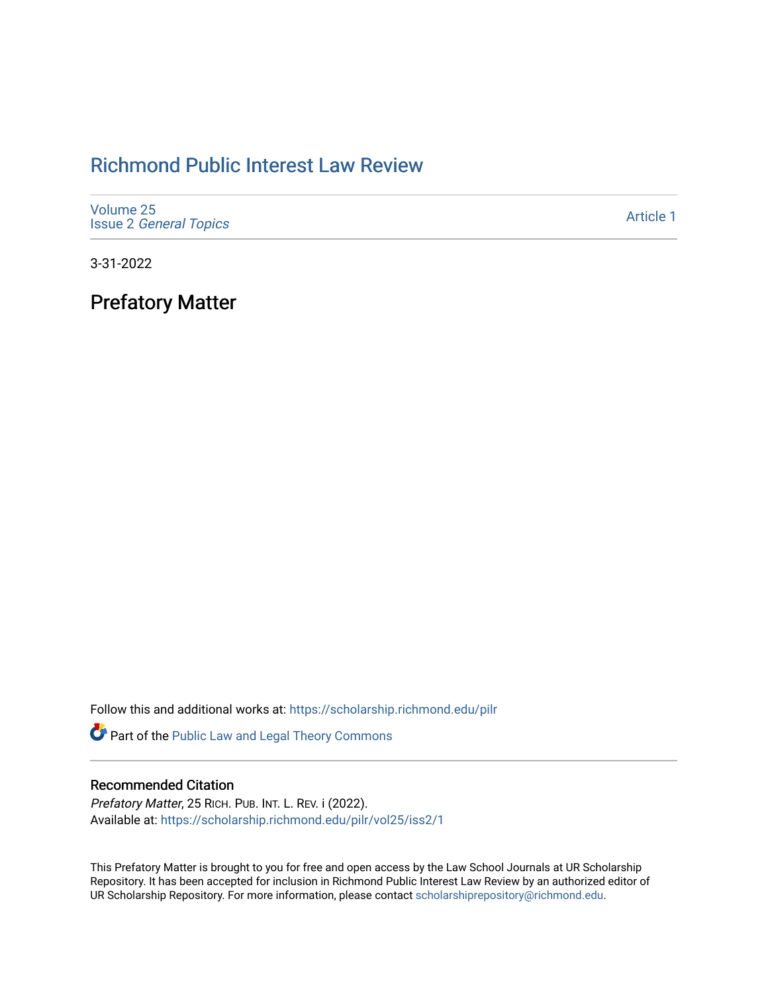# [Richmond Public Interest Law Review](https://scholarship.richmond.edu/pilr)

| Volume 25<br><b>Issue 2 General Topics</b> | Article 1 |
|--------------------------------------------|-----------|
|--------------------------------------------|-----------|

3-31-2022

Prefatory Matter

Follow this and additional works at: [https://scholarship.richmond.edu/pilr](https://scholarship.richmond.edu/pilr?utm_source=scholarship.richmond.edu%2Fpilr%2Fvol25%2Fiss2%2F1&utm_medium=PDF&utm_campaign=PDFCoverPages) 

Part of the [Public Law and Legal Theory Commons](http://network.bepress.com/hgg/discipline/871?utm_source=scholarship.richmond.edu%2Fpilr%2Fvol25%2Fiss2%2F1&utm_medium=PDF&utm_campaign=PDFCoverPages) 

# Recommended Citation

Prefatory Matter, 25 RICH. PUB. INT. L. REV. i (2022). Available at: [https://scholarship.richmond.edu/pilr/vol25/iss2/1](https://scholarship.richmond.edu/pilr/vol25/iss2/1?utm_source=scholarship.richmond.edu%2Fpilr%2Fvol25%2Fiss2%2F1&utm_medium=PDF&utm_campaign=PDFCoverPages)

This Prefatory Matter is brought to you for free and open access by the Law School Journals at UR Scholarship Repository. It has been accepted for inclusion in Richmond Public Interest Law Review by an authorized editor of UR Scholarship Repository. For more information, please contact [scholarshiprepository@richmond.edu](mailto:scholarshiprepository@richmond.edu).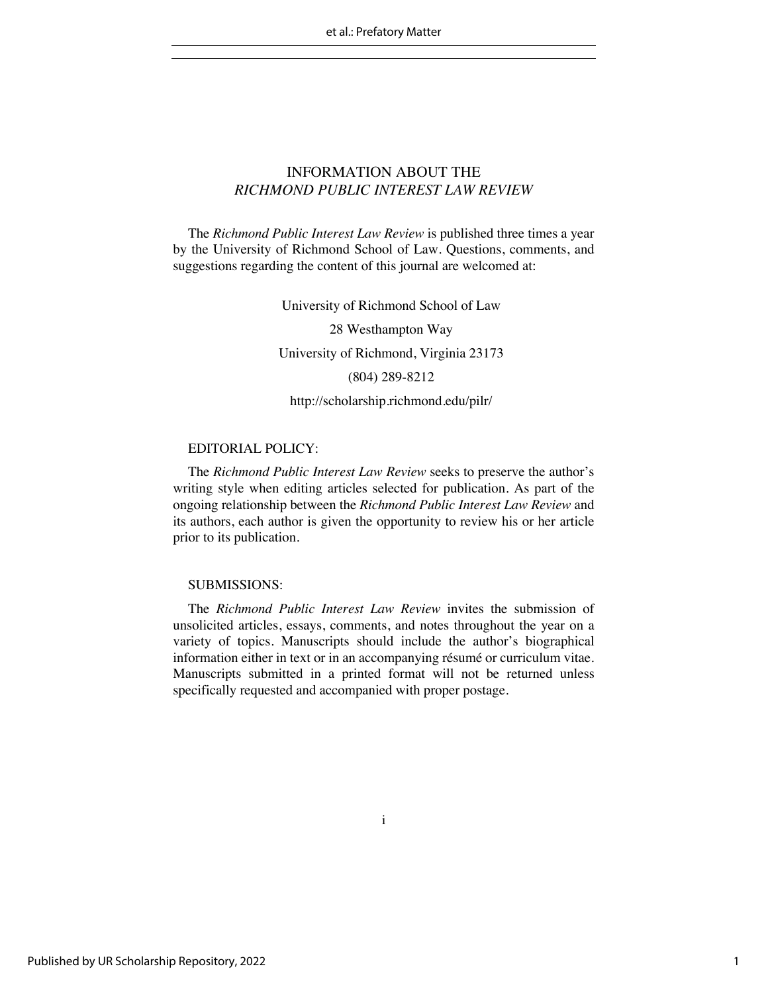# INFORMATION ABOUT THE *RICHMOND PUBLIC INTEREST LAW REVIEW*

The *Richmond Public Interest Law Review* is published three times a year by the University of Richmond School of Law. Questions, comments, and suggestions regarding the content of this journal are welcomed at:

University of Richmond School of Law

28 Westhampton Way University of Richmond, Virginia 23173 (804) 289-8212

http://scholarship.richmond.edu/pilr/

# EDITORIAL POLICY:

The *Richmond Public Interest Law Review* seeks to preserve the author's writing style when editing articles selected for publication. As part of the ongoing relationship between the *Richmond Public Interest Law Review* and its authors, each author is given the opportunity to review his or her article prior to its publication.

#### SUBMISSIONS:

The *Richmond Public Interest Law Review* invites the submission of unsolicited articles, essays, comments, and notes throughout the year on a variety of topics. Manuscripts should include the author's biographical information either in text or in an accompanying résumé or curriculum vitae. Manuscripts submitted in a printed format will not be returned unless specifically requested and accompanied with proper postage.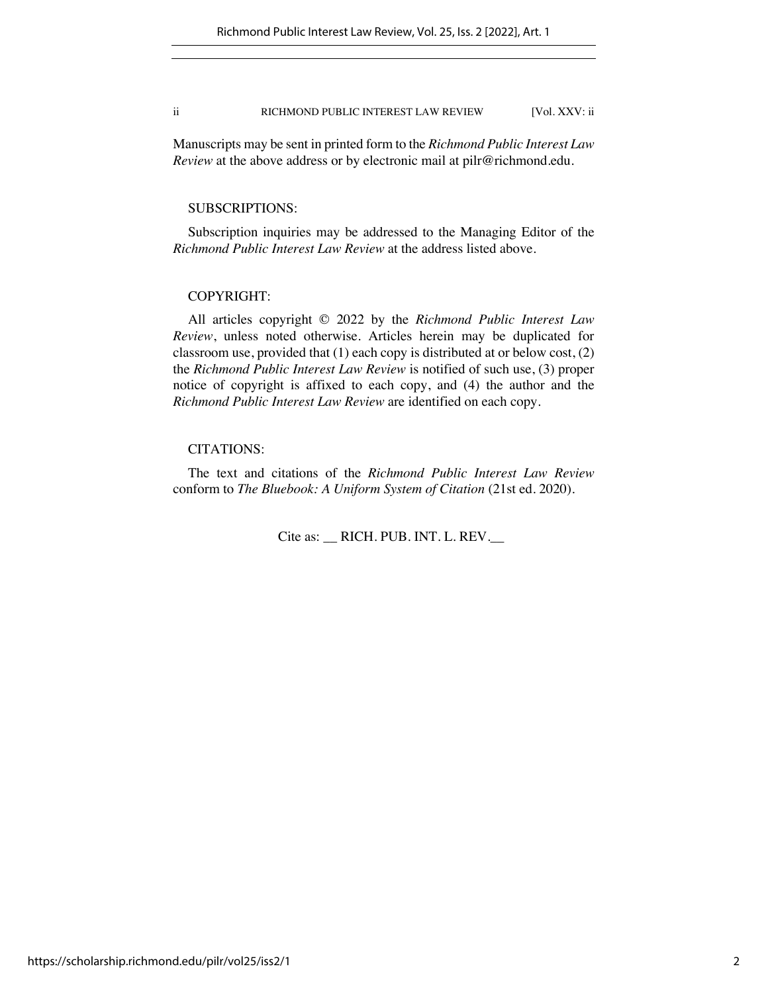#### ii RICHMOND PUBLIC INTEREST LAW REVIEW [Vol. XXV: ii

Manuscripts may be sent in printed form to the *Richmond Public Interest Law Review* at the above address or by electronic mail at pilr@richmond.edu.

#### SUBSCRIPTIONS:

Subscription inquiries may be addressed to the Managing Editor of the *Richmond Public Interest Law Review* at the address listed above.

## COPYRIGHT:

All articles copyright © 2022 by the *Richmond Public Interest Law Review*, unless noted otherwise. Articles herein may be duplicated for classroom use, provided that (1) each copy is distributed at or below cost, (2) the *Richmond Public Interest Law Review* is notified of such use, (3) proper notice of copyright is affixed to each copy, and (4) the author and the *Richmond Public Interest Law Review* are identified on each copy.

#### CITATIONS:

The text and citations of the *Richmond Public Interest Law Review* conform to *The Bluebook: A Uniform System of Citation* (21st ed. 2020).

Cite as: \_\_ RICH. PUB. INT. L. REV.\_\_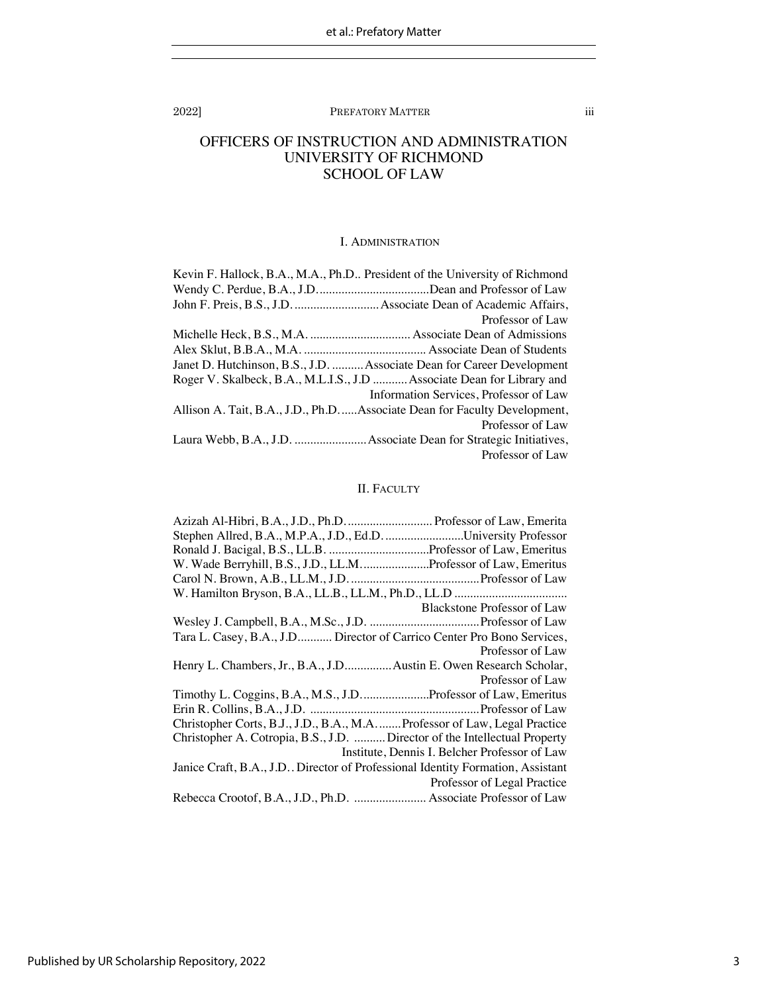2022] **PREFATORY MATTER** iii

# OFFICERS OF INSTRUCTION AND ADMINISTRATION UNIVERSITY OF RICHMOND SCHOOL OF LAW

## I. ADMINISTRATION

| Kevin F. Hallock, B.A., M.A., Ph.D President of the University of Richmond |                                        |
|----------------------------------------------------------------------------|----------------------------------------|
|                                                                            |                                        |
|                                                                            |                                        |
|                                                                            | Professor of Law                       |
|                                                                            |                                        |
|                                                                            |                                        |
| Janet D. Hutchinson, B.S., J.D.  Associate Dean for Career Development     |                                        |
| Roger V. Skalbeck, B.A., M.L.I.S., J.D  Associate Dean for Library and     |                                        |
|                                                                            | Information Services, Professor of Law |
| Allison A. Tait, B.A., J.D., Ph.D Associate Dean for Faculty Development,  |                                        |
|                                                                            | Professor of Law                       |
|                                                                            |                                        |
|                                                                            | Professor of Law                       |

## II. FACULTY

| Azizah Al-Hibri, B.A., J.D., Ph.D Professor of Law, Emerita                    |
|--------------------------------------------------------------------------------|
| Stephen Allred, B.A., M.P.A., J.D., Ed.D. University Professor                 |
|                                                                                |
| W. Wade Berryhill, B.S., J.D., LL.M. Professor of Law, Emeritus                |
|                                                                                |
|                                                                                |
| <b>Blackstone Professor of Law</b>                                             |
|                                                                                |
| Tara L. Casey, B.A., J.D Director of Carrico Center Pro Bono Services,         |
| Professor of Law                                                               |
| Henry L. Chambers, Jr., B.A., J.D Austin E. Owen Research Scholar,             |
| Professor of Law                                                               |
| Timothy L. Coggins, B.A., M.S., J.DProfessor of Law, Emeritus                  |
|                                                                                |
| Christopher Corts, B.J., J.D., B.A., M.A Professor of Law, Legal Practice      |
| Christopher A. Cotropia, B.S., J.D.  Director of the Intellectual Property     |
| Institute, Dennis I. Belcher Professor of Law                                  |
| Janice Craft, B.A., J.D Director of Professional Identity Formation, Assistant |
| Professor of Legal Practice                                                    |
|                                                                                |
|                                                                                |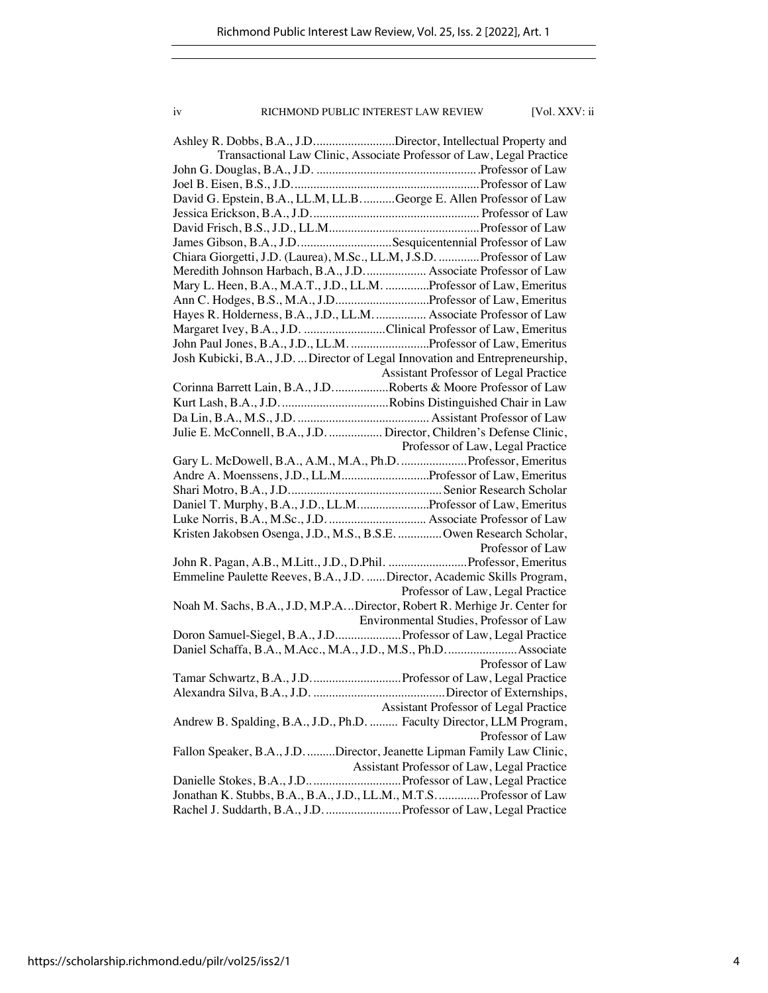## iv RICHMOND PUBLIC INTEREST LAW REVIEW [Vol. XXV: ii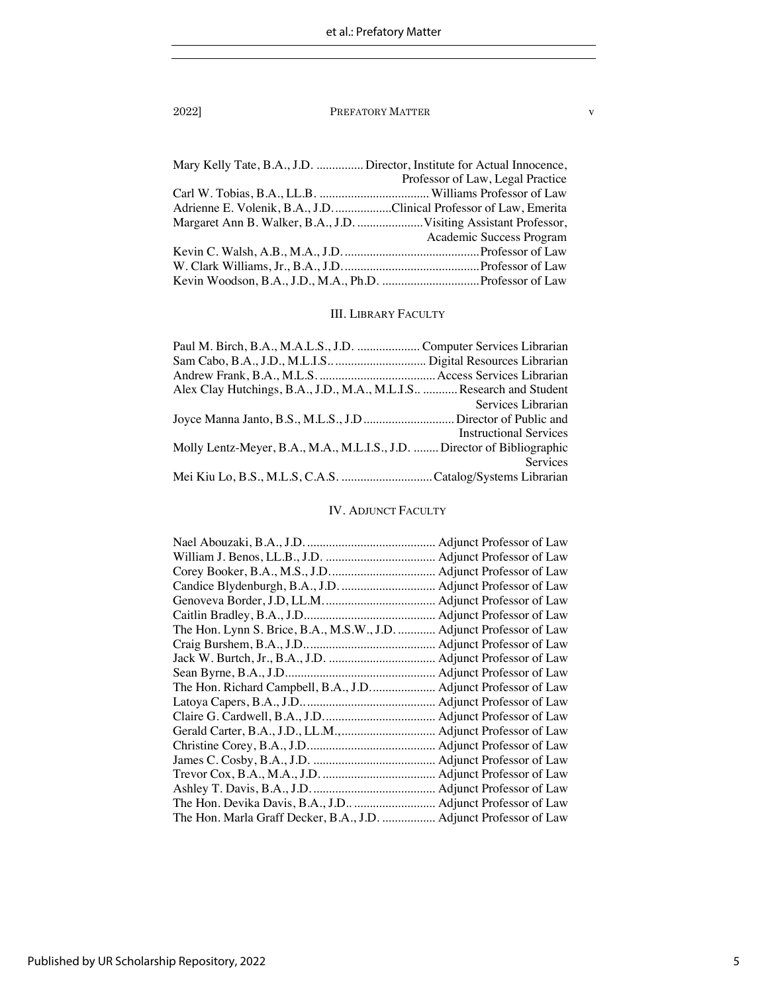## 2022] PREFATORY MATTER v

Mary Kelly Tate, B.A., J.D. ............... Director, Institute for Actual Innocence, Professor of Law, Legal Practice Carl W. Tobias, B.A., LL.B. ................................... Williams Professor of Law Adrienne E. Volenik, B.A., J.D...................Clinical Professor of Law, Emerita Margaret Ann B. Walker, B.A., J.D. .....................Visiting Assistant Professor, Academic Success Program Kevin C. Walsh, A.B., M.A., J.D............................................Professor of Law W. Clark Williams, Jr., B.A., J.D............................................Professor of Law Kevin Woodson, B.A., J.D., M.A., Ph.D. ...............................Professor of Law

#### III. LIBRARY FACULTY

| Paul M. Birch, B.A., M.A.L.S., J.D.  Computer Services Librarian         |                               |
|--------------------------------------------------------------------------|-------------------------------|
|                                                                          |                               |
|                                                                          |                               |
| Alex Clay Hutchings, B.A., J.D., M.A., M.L.I.S  Research and Student     |                               |
|                                                                          | Services Librarian            |
|                                                                          |                               |
|                                                                          | <b>Instructional Services</b> |
| Molly Lentz-Meyer, B.A., M.A., M.L.I.S., J.D.  Director of Bibliographic |                               |
|                                                                          | Services                      |
|                                                                          |                               |

#### IV. ADJUNCT FACULTY

| The Hon. Lynn S. Brice, B.A., M.S.W., J.D.  Adjunct Professor of Law |  |
|----------------------------------------------------------------------|--|
|                                                                      |  |
|                                                                      |  |
|                                                                      |  |
| The Hon. Richard Campbell, B.A., J.D Adjunct Professor of Law        |  |
|                                                                      |  |
|                                                                      |  |
|                                                                      |  |
|                                                                      |  |
|                                                                      |  |
|                                                                      |  |
|                                                                      |  |
|                                                                      |  |
| The Hon. Marla Graff Decker, B.A., J.D.  Adjunct Professor of Law    |  |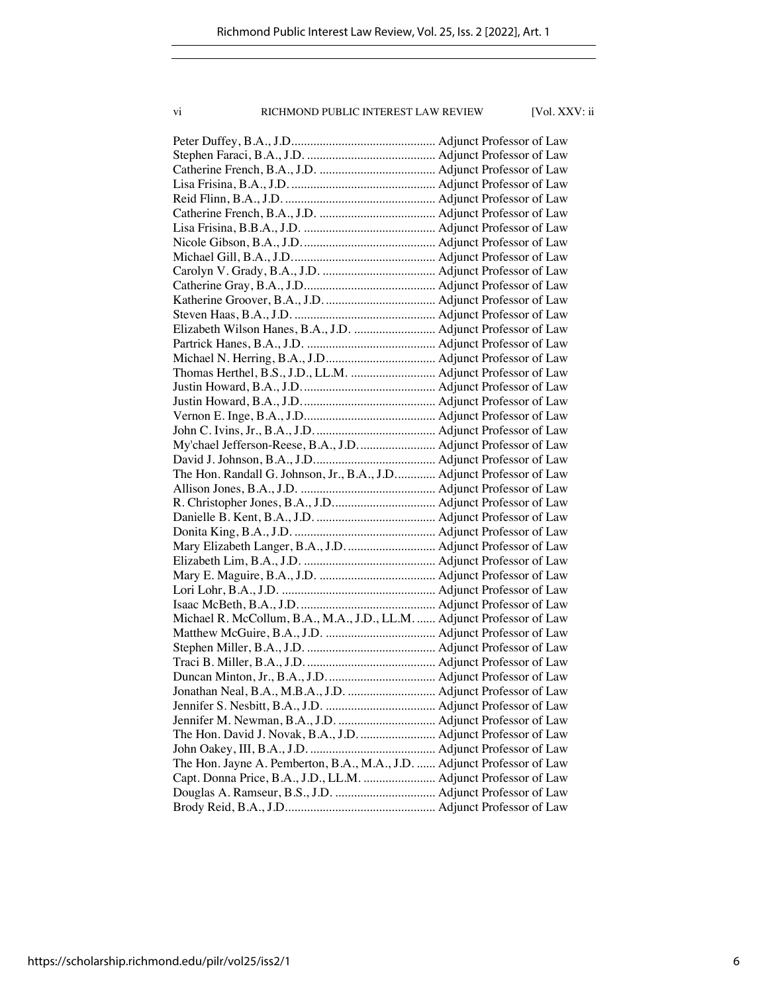vi RICHMOND PUBLIC INTEREST LAW REVIEW [Vol. XXV: ii

| My'chael Jefferson-Reese, B.A., J.D Adjunct Professor of Law            |  |
|-------------------------------------------------------------------------|--|
|                                                                         |  |
| The Hon. Randall G. Johnson, Jr., B.A., J.D Adjunct Professor of Law    |  |
|                                                                         |  |
|                                                                         |  |
|                                                                         |  |
|                                                                         |  |
|                                                                         |  |
|                                                                         |  |
|                                                                         |  |
|                                                                         |  |
|                                                                         |  |
| Michael R. McCollum, B.A., M.A., J.D., LL.M.  Adjunct Professor of Law  |  |
|                                                                         |  |
|                                                                         |  |
|                                                                         |  |
|                                                                         |  |
|                                                                         |  |
|                                                                         |  |
|                                                                         |  |
| The Hon. David J. Novak, B.A., J.D.  Adjunct Professor of Law           |  |
|                                                                         |  |
| The Hon. Jayne A. Pemberton, B.A., M.A., J.D.  Adjunct Professor of Law |  |
| Capt. Donna Price, B.A., J.D., LL.M.  Adjunct Professor of Law          |  |
|                                                                         |  |
|                                                                         |  |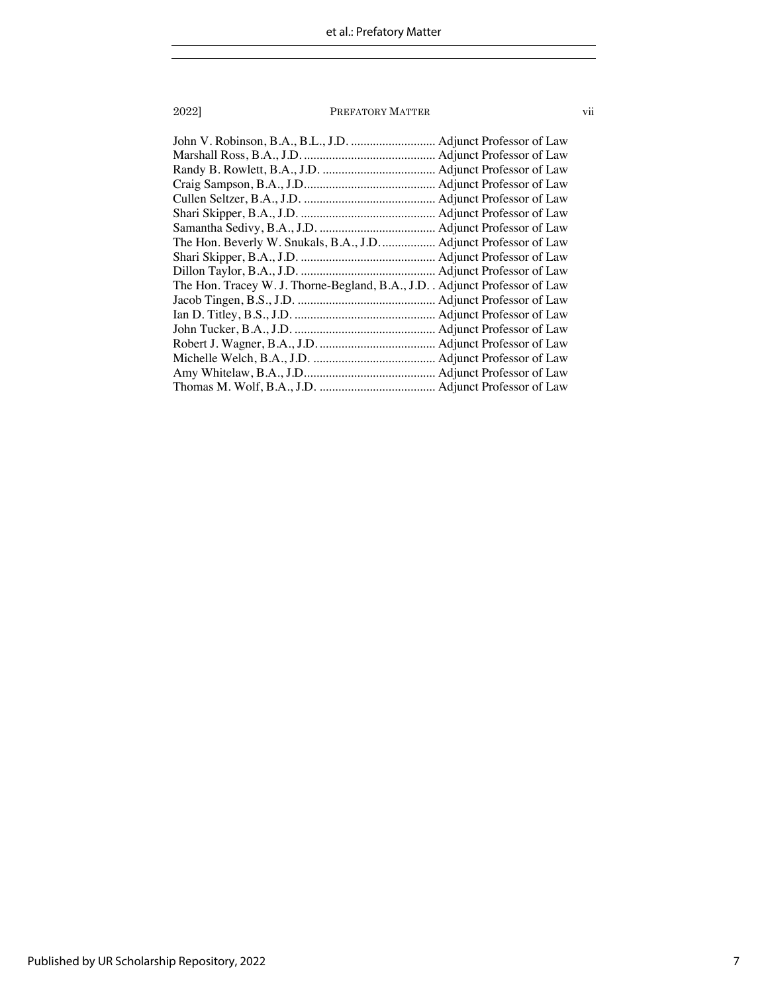PREFATORY MATTER vii

| The Hon. Beverly W. Snukals, B.A., J.D Adjunct Professor of Law             |  |
|-----------------------------------------------------------------------------|--|
|                                                                             |  |
|                                                                             |  |
| The Hon. Tracey W. J. Thorne-Begland, B.A., J.D. . Adjunct Professor of Law |  |
|                                                                             |  |
|                                                                             |  |
|                                                                             |  |
|                                                                             |  |
|                                                                             |  |
|                                                                             |  |
|                                                                             |  |